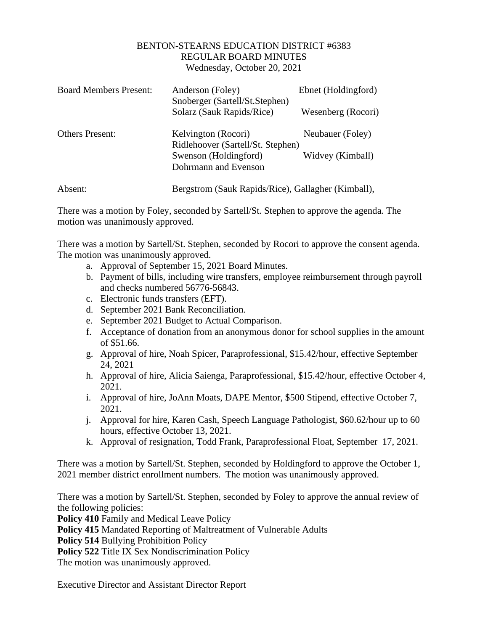## BENTON-STEARNS EDUCATION DISTRICT #6383 REGULAR BOARD MINUTES Wednesday, October 20, 2021

| <b>Board Members Present:</b> | Anderson (Foley)<br>Snoberger (Sartell/St.Stephen)       | Ebnet (Holdingford) |
|-------------------------------|----------------------------------------------------------|---------------------|
|                               | Solarz (Sauk Rapids/Rice)                                | Wesenberg (Rocori)  |
| <b>Others Present:</b>        | Kelvington (Rocori)<br>Ridlehoover (Sartell/St. Stephen) | Neubauer (Foley)    |
|                               | Swenson (Holdingford)                                    | Widvey (Kimball)    |
|                               | Dohrmann and Evenson                                     |                     |
| Absent:                       | Bergstrom (Sauk Rapids/Rice), Gallagher (Kimball),       |                     |

There was a motion by Foley, seconded by Sartell/St. Stephen to approve the agenda. The motion was unanimously approved.

There was a motion by Sartell/St. Stephen, seconded by Rocori to approve the consent agenda. The motion was unanimously approved.

- a. Approval of September 15, 2021 Board Minutes.
- b. Payment of bills, including wire transfers, employee reimbursement through payroll and checks numbered 56776-56843.
- c. Electronic funds transfers (EFT).
- d. September 2021 Bank Reconciliation.
- e. September 2021 Budget to Actual Comparison.
- f. Acceptance of donation from an anonymous donor for school supplies in the amount of \$51.66.
- g. Approval of hire, Noah Spicer, Paraprofessional, \$15.42/hour, effective September 24, 2021
- h. Approval of hire, Alicia Saienga, Paraprofessional, \$15.42/hour, effective October 4, 2021.
- i. Approval of hire, JoAnn Moats, DAPE Mentor, \$500 Stipend, effective October 7, 2021.
- j. Approval for hire, Karen Cash, Speech Language Pathologist, \$60.62/hour up to 60 hours, effective October 13, 2021.
- k. Approval of resignation, Todd Frank, Paraprofessional Float, September 17, 2021.

There was a motion by Sartell/St. Stephen, seconded by Holdingford to approve the October 1, 2021 member district enrollment numbers. The motion was unanimously approved.

There was a motion by Sartell/St. Stephen, seconded by Foley to approve the annual review of the following policies:

**Policy 410** Family and Medical Leave Policy

**Policy 415** Mandated Reporting of Maltreatment of Vulnerable Adults

**Policy 514** Bullying Prohibition Policy

Policy 522 Title IX Sex Nondiscrimination Policy

The motion was unanimously approved.

Executive Director and Assistant Director Report